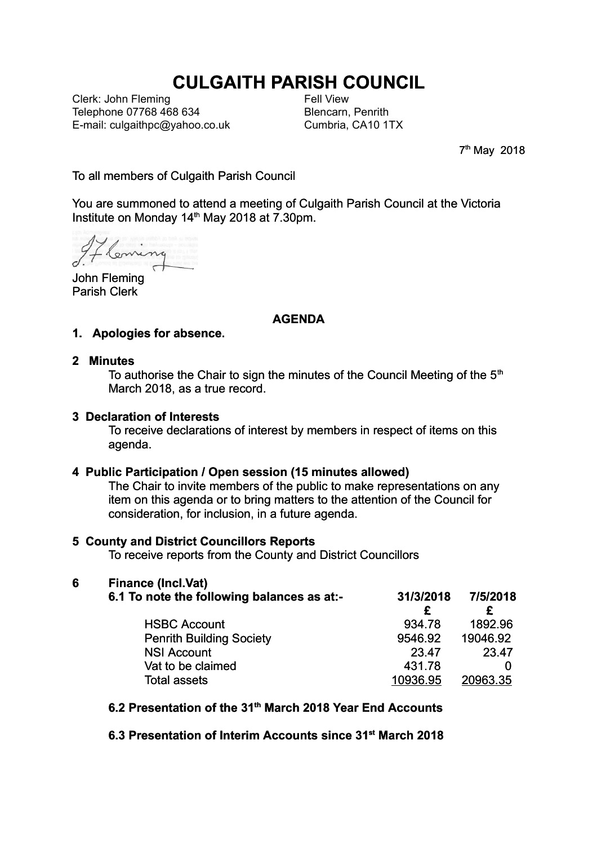# **CULGAITH PARISH COUNCIL**

Clerk: John Fleming Telephone 07768 468 634 E-mail: culgaithpc@yahoo.co.uk Fell View Blencarn, Penrith Cumbria, CA10 1TX

7<sup>th</sup> May 2018

To all members of Culgaith Parish Council

You are summoned to attend a meeting of Culgaith Parish Council at the Victoria Institute on Monday 14th May 2018 at 7.30pm.

Fleming

John Fleming Parish Clerk

## **AGENDA**

#### **1. Apologies for absence.**

#### **2 Minutes**

To authorise the Chair to sign the minutes of the Council Meeting of the  $5<sup>th</sup>$ March 2018, as a true record.

#### **3 Declaration of Interests**

To receive declarations of interest by members in respect of items on this agenda.

#### **4 Public Participation / Open session (15 minutes allowed)**

The Chair to invite members of the public to make representations on any item on this agenda or to bring matters to the attention of the Council for consideration, for inclusion, in a future agenda.

## **5 County and District Councillors Reports**

To receive reports from the County and District Councillors

# **6 Finance (Incl.Vat)**

| 6.1 To note the following balances as at:- | 31/3/2018 | 7/5/2018 |
|--------------------------------------------|-----------|----------|
| <b>HSBC Account</b>                        | 934.78    | 1892.96  |
| <b>Penrith Building Society</b>            | 9546.92   | 19046.92 |
| <b>NSI Account</b>                         | 23.47     | 23.47    |
| Vat to be claimed                          | 431.78    |          |
| Total assets                               | 10936.95  | 20963.35 |

## **6.2 Presentation of the 31th March 2018 Year End Accounts**

**6.3 Presentation of Interim Accounts since 31st March 2018**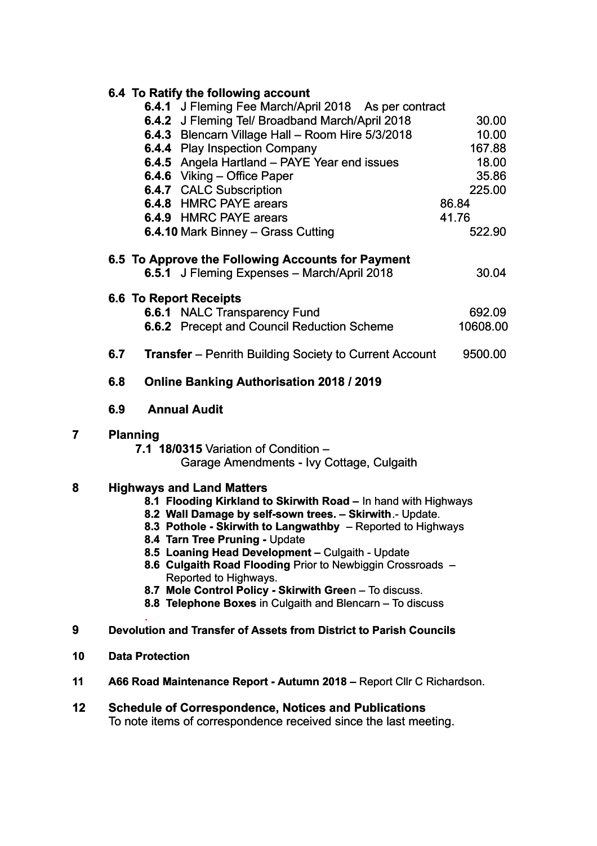|    | 6.4 To Ratify the following account                                                                                                                                                                                                                                                                                                                                                                                                                                                                                                |                    |  |
|----|------------------------------------------------------------------------------------------------------------------------------------------------------------------------------------------------------------------------------------------------------------------------------------------------------------------------------------------------------------------------------------------------------------------------------------------------------------------------------------------------------------------------------------|--------------------|--|
|    | 6.4.1 J Fleming Fee March/April 2018 As per contract                                                                                                                                                                                                                                                                                                                                                                                                                                                                               |                    |  |
|    | 6.4.2 J Fleming Tel/ Broadband March/April 2018                                                                                                                                                                                                                                                                                                                                                                                                                                                                                    | 30.00              |  |
|    | 6.4.3 Blencarn Village Hall - Room Hire 5/3/2018                                                                                                                                                                                                                                                                                                                                                                                                                                                                                   | 10.00              |  |
|    | 6.4.4 Play Inspection Company                                                                                                                                                                                                                                                                                                                                                                                                                                                                                                      | 167.88             |  |
|    | 6.4.5 Angela Hartland - PAYE Year end issues                                                                                                                                                                                                                                                                                                                                                                                                                                                                                       | 18.00              |  |
|    | 6.4.6 Viking - Office Paper                                                                                                                                                                                                                                                                                                                                                                                                                                                                                                        | 35.86              |  |
|    | <b>6.4.7 CALC Subscription</b>                                                                                                                                                                                                                                                                                                                                                                                                                                                                                                     | 225.00             |  |
|    | 6.4.8 HMRC PAYE arears                                                                                                                                                                                                                                                                                                                                                                                                                                                                                                             | 86.84              |  |
|    | 6.4.9 HMRC PAYE arears                                                                                                                                                                                                                                                                                                                                                                                                                                                                                                             | 41.76              |  |
|    | 6.4.10 Mark Binney - Grass Cutting                                                                                                                                                                                                                                                                                                                                                                                                                                                                                                 | 522.90             |  |
|    | 6.5 To Approve the Following Accounts for Payment                                                                                                                                                                                                                                                                                                                                                                                                                                                                                  |                    |  |
|    | 6.5.1 J Fleming Expenses - March/April 2018                                                                                                                                                                                                                                                                                                                                                                                                                                                                                        | 30.04              |  |
|    |                                                                                                                                                                                                                                                                                                                                                                                                                                                                                                                                    |                    |  |
|    | <b>6.6 To Report Receipts</b>                                                                                                                                                                                                                                                                                                                                                                                                                                                                                                      |                    |  |
|    | 6.6.1 NALC Transparency Fund                                                                                                                                                                                                                                                                                                                                                                                                                                                                                                       | 692.09<br>10608.00 |  |
|    | <b>6.6.2</b> Precept and Council Reduction Scheme                                                                                                                                                                                                                                                                                                                                                                                                                                                                                  |                    |  |
|    | 6.7<br><b>Transfer</b> – Penrith Building Society to Current Account                                                                                                                                                                                                                                                                                                                                                                                                                                                               | 9500.00            |  |
|    | <b>Online Banking Authorisation 2018 / 2019</b><br>6.8                                                                                                                                                                                                                                                                                                                                                                                                                                                                             |                    |  |
|    | <b>Annual Audit</b><br>6.9                                                                                                                                                                                                                                                                                                                                                                                                                                                                                                         |                    |  |
| 7  | <b>Planning</b><br>7.1 18/0315 Variation of Condition $-$<br>Garage Amendments - Ivy Cottage, Culgaith                                                                                                                                                                                                                                                                                                                                                                                                                             |                    |  |
| 8  | <b>Highways and Land Matters</b><br>8.1 Flooding Kirkland to Skirwith Road - In hand with Highways<br>8.2 Wall Damage by self-sown trees. - Skirwith .- Update.<br>8.3 Pothole - Skirwith to Langwathby - Reported to Highways<br>8.4 Tarn Tree Pruning - Update<br>8.5 Loaning Head Development - Culgaith - Update<br>8.6 Culgaith Road Flooding Prior to Newbiggin Crossroads -<br>Reported to Highways.<br>8.7 Mole Control Policy - Skirwith Green - To discuss.<br>8.8 Telephone Boxes in Culgaith and Blencarn - To discuss |                    |  |
| 9  | Devolution and Transfer of Assets from District to Parish Councils                                                                                                                                                                                                                                                                                                                                                                                                                                                                 |                    |  |
| 10 | <b>Data Protection</b>                                                                                                                                                                                                                                                                                                                                                                                                                                                                                                             |                    |  |
| 11 | A66 Road Maintenance Report - Autumn 2018 - Report Cllr C Richardson.                                                                                                                                                                                                                                                                                                                                                                                                                                                              |                    |  |
| 12 | <b>Schedule of Correspondence, Notices and Publications</b><br>To note items of correspondence received since the last meeting.                                                                                                                                                                                                                                                                                                                                                                                                    |                    |  |